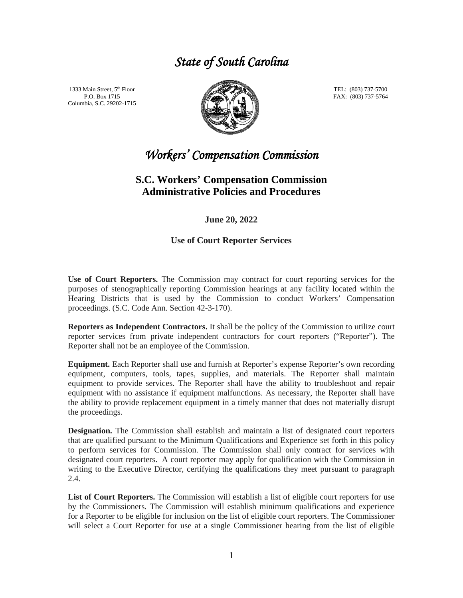# *State of South Carolina*

1333 Main Street, 5<sup>th</sup> Floor P.O. Box 1715 Columbia, S.C. 29202-1715



TEL: (803) 737-5700 FAX: (803) 737-5764

## *Workers' Compensation Commission*

### **S.C. Workers' Compensation Commission Administrative Policies and Procedures**

#### **June 20, 2022**

### **Use of Court Reporter Services**

**Use of Court Reporters.** The Commission may contract for court reporting services for the purposes of stenographically reporting Commission hearings at any facility located within the Hearing Districts that is used by the Commission to conduct Workers' Compensation proceedings. (S.C. Code Ann. Section 42-3-170).

**Reporters as Independent Contractors.** It shall be the policy of the Commission to utilize court reporter services from private independent contractors for court reporters ("Reporter"). The Reporter shall not be an employee of the Commission.

**Equipment.** Each Reporter shall use and furnish at Reporter's expense Reporter's own recording equipment, computers, tools, tapes, supplies, and materials. The Reporter shall maintain equipment to provide services. The Reporter shall have the ability to troubleshoot and repair equipment with no assistance if equipment malfunctions. As necessary, the Reporter shall have the ability to provide replacement equipment in a timely manner that does not materially disrupt the proceedings.

**Designation.** The Commission shall establish and maintain a list of designated court reporters that are qualified pursuant to the Minimum Qualifications and Experience set forth in this policy to perform services for Commission. The Commission shall only contract for services with designated court reporters. A court reporter may apply for qualification with the Commission in writing to the Executive Director, certifying the qualifications they meet pursuant to paragraph 2.4.

**List of Court Reporters.** The Commission will establish a list of eligible court reporters for use by the Commissioners. The Commission will establish minimum qualifications and experience for a Reporter to be eligible for inclusion on the list of eligible court reporters. The Commissioner will select a Court Reporter for use at a single Commissioner hearing from the list of eligible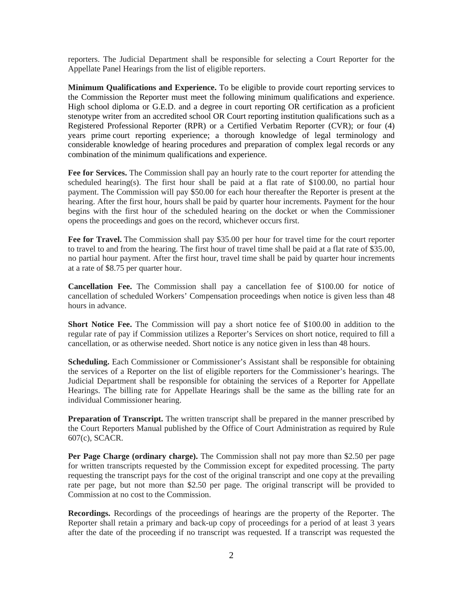reporters. The Judicial Department shall be responsible for selecting a Court Reporter for the Appellate Panel Hearings from the list of eligible reporters.

**Minimum Qualifications and Experience.** To be eligible to provide court reporting services to the Commission the Reporter must meet the following minimum qualifications and experience. High school diploma or G.E.D. and a degree in court reporting OR certification as a proficient stenotype writer from an accredited school OR Court reporting institution qualifications such as a Registered Professional Reporter (RPR) or a Certified Verbatim Reporter (CVR); or four (4) years prime court reporting experience; a thorough knowledge of legal terminology and considerable knowledge of hearing procedures and preparation of complex legal records or any combination of the minimum qualifications and experience.

**Fee for Services.** The Commission shall pay an hourly rate to the court reporter for attending the scheduled hearing(s). The first hour shall be paid at a flat rate of \$100.00, no partial hour payment. The Commission will pay \$50.00 for each hour thereafter the Reporter is present at the hearing. After the first hour, hours shall be paid by quarter hour increments. Payment for the hour begins with the first hour of the scheduled hearing on the docket or when the Commissioner opens the proceedings and goes on the record, whichever occurs first.

**Fee for Travel.** The Commission shall pay \$35.00 per hour for travel time for the court reporter to travel to and from the hearing. The first hour of travel time shall be paid at a flat rate of \$35.00, no partial hour payment. After the first hour, travel time shall be paid by quarter hour increments at a rate of \$8.75 per quarter hour.

**Cancellation Fee.** The Commission shall pay a cancellation fee of \$100.00 for notice of cancellation of scheduled Workers' Compensation proceedings when notice is given less than 48 hours in advance.

**Short Notice Fee.** The Commission will pay a short notice fee of \$100.00 in addition to the regular rate of pay if Commission utilizes a Reporter's Services on short notice, required to fill a cancellation, or as otherwise needed. Short notice is any notice given in less than 48 hours.

**Scheduling.** Each Commissioner or Commissioner's Assistant shall be responsible for obtaining the services of a Reporter on the list of eligible reporters for the Commissioner's hearings. The Judicial Department shall be responsible for obtaining the services of a Reporter for Appellate Hearings. The billing rate for Appellate Hearings shall be the same as the billing rate for an individual Commissioner hearing.

**Preparation of Transcript.** The written transcript shall be prepared in the manner prescribed by the Court Reporters Manual published by the Office of Court Administration as required by Rule 607(c), SCACR.

**Per Page Charge (ordinary charge).** The Commission shall not pay more than \$2.50 per page for written transcripts requested by the Commission except for expedited processing. The party requesting the transcript pays for the cost of the original transcript and one copy at the prevailing rate per page, but not more than \$2.50 per page. The original transcript will be provided to Commission at no cost to the Commission.

**Recordings.** Recordings of the proceedings of hearings are the property of the Reporter. The Reporter shall retain a primary and back-up copy of proceedings for a period of at least 3 years after the date of the proceeding if no transcript was requested. If a transcript was requested the